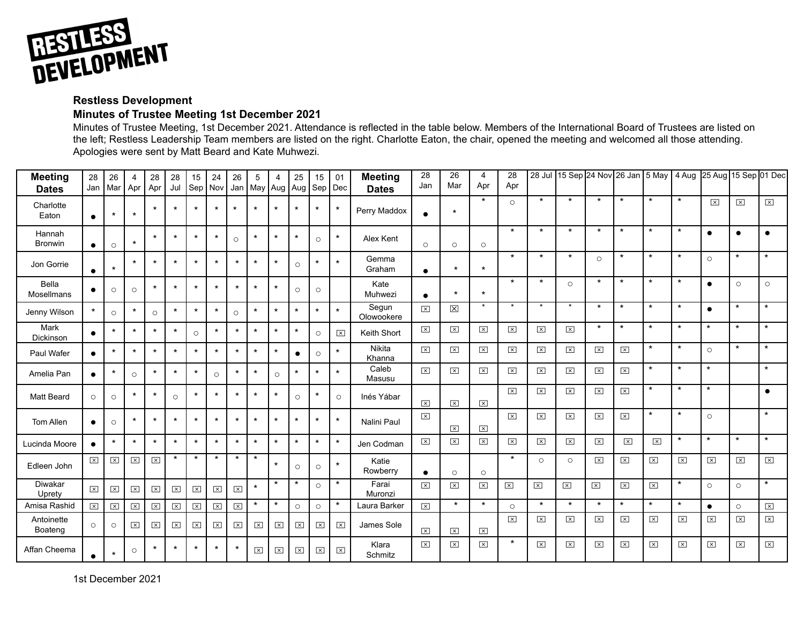

## **Restless Development**

## **Minutes of Trustee Meeting 1st December 2021**

Minutes of Trustee Meeting, 1st December 2021. Attendance is reflected in the table below. Members of the International Board of Trustees are listed on the left; Restless Leadership Team members are listed on the right. Charlotte Eaton, the chair, opened the meeting and welcomed all those attending. Apologies were sent by Matt Beard and Kate Muhwezi.

| <b>Meeting</b><br><b>Dates</b> | 28<br>Jan            | 26<br>Mar            | 4<br>Apr                | 28<br>Apr            | 28<br>Jul        | 15<br>Sep            | 24<br>Nov            | 26<br>Jan               | 5<br>May Aug            | 4                    | 25<br>Aug               | 15<br>Sep               | 01<br>Dec               | <b>Meeting</b><br><b>Dates</b> | 28<br>Jan               | 26<br>Mar               | 4<br>Apr                | 28<br>Apr             | $28$ Jul                |                         |                         | 15 Sep 24 Nov 26 Jan 5 May |                         | $\sqrt{4}$ Aug          | 25 Aug 15 Sep 01 Dec    |                         |                      |
|--------------------------------|----------------------|----------------------|-------------------------|----------------------|------------------|----------------------|----------------------|-------------------------|-------------------------|----------------------|-------------------------|-------------------------|-------------------------|--------------------------------|-------------------------|-------------------------|-------------------------|-----------------------|-------------------------|-------------------------|-------------------------|----------------------------|-------------------------|-------------------------|-------------------------|-------------------------|----------------------|
| Charlotte<br>Eaton             | $\bullet$            | $\star$              | $\star$                 | $\star$              | $\star$          | $\star$              | $\star$              | $\star$                 | $\star$                 | $\star$              | $\star$                 | $\star$                 | $\star$                 | Perry Maddox                   | $\bullet$               | $\star$                 | $\star$                 | $\circ$               | $\star$                 | $\star$                 | $\star$                 | $\star$                    | $\star$                 | $\star$                 | $\overline{\mathbf{x}}$ | $\boxed{\mathsf{x}}$    | $\boxed{\times}$     |
| Hannah<br><b>Bronwin</b>       | $\bullet$            | $\circ$              | $\star$                 | $\star$              | $\star$          | $\star$              | $\star$              | $\circ$                 | $\star$                 | $\star$              | $\star$                 | $\circ$                 | $\star$                 | Alex Kent                      | $\circ$                 | $\circ$                 | $\circ$                 | $\star$               | $\star$                 | $\star$                 | $\star$                 | $\star$                    | $\star$                 | $\star$                 | $\bullet$               | $\bullet$               | $\bullet$            |
| Jon Gorrie                     | $\bullet$            | $\star$              | $\star$                 | $\star$              | $\star$          | $\star$              | $\star$              | $\star$                 | $\star$                 | $\star$              | $\circ$                 | $\star$                 | $\star$                 | Gemma<br>Graham                | $\bullet$               | $\star$                 | $\star$                 | $\star$               | $\star$                 | $\star$                 | $\circ$                 | $\star$                    | $\star$                 | $\star$                 | $\circ$                 | $\star$                 | $\star$              |
| Bella<br>Mosellmans            | $\bullet$            | $\circ$              | $\circ$                 | $\star$              | $\star$          | $\star$              | $\star$              | $\star$                 | $\star$                 | $\star$              | $\circ$                 | $\circ$                 |                         | Kate<br>Muhwezi                | $\bullet$               | $\star$                 | $\star$                 | $\star$               | $\star$                 | $\circ$                 | $\star$                 | $\star$                    | $\star$                 | $\star$                 | $\bullet$               | $\circ$                 | $\circ$              |
| Jenny Wilson                   | $\star$              | $\circ$              | $\star$                 | $\circ$              | $\star$          | $\star$              | $\star$              | $\circ$                 | $\star$                 | $\star$              | $\star$                 | $\star$                 | $\star$                 | Segun<br>Olowookere            | $\boxed{\mathsf{x}}$    | $\boxtimes$             | $\star$                 | $\star$               |                         |                         | $\star$                 | $\star$                    | $\star$                 | $\star$                 | $\bullet$               | $\star$                 | $\star$              |
| Mark<br>Dickinson              | $\bullet$            | $\star$              | $\star$                 | $\star$              | $\star$          | $\circ$              | $\star$              | $\star$                 | $\star$                 | $\star$              | $\star$                 | $\circ$                 | $\boxed{\times}$        | Keith Short                    | $\boxed{\times}$        | $\overline{\mathbf{x}}$ | $\overline{\mathbf{x}}$ | $\boldsymbol{\times}$ | $\overline{\mathbf{x}}$ | $\boxed{\mathsf{x}}$    | $\star$                 | $\star$                    | $\star$                 | $\star$                 | $\star$                 | $\star$                 | $\star$              |
| Paul Wafer                     | $\bullet$            | $\star$              | $\star$                 | $\star$              | $\star$          | $\star$              | $\star$              | $\star$                 | $\star$                 | $\star$              | $\bullet$               | $\circ$                 | $\star$                 | Nikita<br>Khanna               | $\boxed{\mathsf{x}}$    | $\overline{\mathbf{x}}$ | $\overline{\mathbf{x}}$ | $\boxed{\times}$      | $\boxed{\times}$        | $\vert x \vert$         | $\boxed{\mathsf{x}}$    | $\boxed{\times}$           | $\star$                 | $\star$                 | $\circ$                 | $\star$                 | $\star$              |
| Amelia Pan                     | $\bullet$            | $\star$              | $\circ$                 | $\star$              | $\star$          | $\star$              | $\circ$              | $\star$                 | $\star$                 | $\circ$              | $\star$                 | $\star$                 | $\star$                 | Caleb<br>Masusu                | $\boxed{\mathsf{x}}$    | $\overline{\mathbf{x}}$ | $\overline{\mathbf{x}}$ | $\mathbf{x}$          | $\boxed{\times}$        | $\overline{\mathbf{x}}$ | $\boxed{\mathsf{x}}$    | $\boxed{\times}$           | $\star$                 | $\star$                 | $\star$                 |                         | $\star$              |
| <b>Matt Beard</b>              | $\circ$              | $\circ$              | $\star$                 | $\star$              | $\circ$          | $\star$              | $\star$              | $\star$                 | $\star$                 | $\star$              | $\circ$                 | $\star$                 | $\circ$                 | Inés Yábar                     | $\overline{\mathsf{x}}$ | $\overline{\mathbf{x}}$ | $\overline{\mathbf{x}}$ | $\boxed{\mathsf{x}}$  | $\boxed{\mathsf{x}}$    | $\boxed{\times}$        | $\overline{\mathbf{x}}$ | $\boxed{\times}$           | $\star$                 | $\star$                 | $\star$                 |                         | $\bullet$            |
| Tom Allen                      | $\bullet$            | $\circ$              | $\star$                 | $\star$              | $\star$          | $\star$              | $\star$              | $\star$                 | $\star$                 | $\star$              | $\star$                 | $\star$                 | $\star$                 | Nalini Paul                    | $\boxed{\times}$        | $\overline{\mathbf{x}}$ | $\overline{\mathbf{x}}$ | $\boxed{\mathsf{x}}$  | $\vert x \vert$         | $\boxed{\times}$        | $\overline{\mathbf{x}}$ | $\boxed{\times}$           | $\star$                 | $\star$                 | $\circ$                 |                         | $\star$              |
| Lucinda Moore                  | $\bullet$            | $\star$              | $\star$                 | $\star$              | $\star$          | $\star$              | $\star$              | $\star$                 | $\star$                 | $\star$              | $\star$                 | $\star$                 | $\star$                 | Jen Codman                     | $\boxed{\times}$        | $\boxed{\mathsf{x}}$    | $\overline{\mathbf{x}}$ | $\boxed{\mathsf{x}}$  | $\boxed{\times}$        | $\overline{\mathbf{x}}$ | $\boxed{\mathsf{x}}$    | $\overline{\mathbf{x}}$    | $\overline{\mathbf{x}}$ | $\star$                 | $\star$                 | $\star$                 | $\star$              |
| Edleen John                    | $\boxed{\mathsf{x}}$ | $\boxed{\mathsf{x}}$ | ⊠                       | $\boxed{\times}$     | $\star$          | $\star$              | $\star$              | $\star$                 | $\star$                 | $\star$              | $\circ$                 | $\circ$                 | $\star$                 | Katie<br>Rowberry              | $\bullet$               | $\circ$                 | $\circ$                 | $\star$               | $\circ$                 | $\circ$                 | $\overline{\mathbf{x}}$ | $\boxed{\times}$           | $\boxed{\times}$        | $\overline{\mathbf{x}}$ | $\boxed{\times}$        | $\boxed{\times}$        | $\boxed{\times}$     |
| Diwakar<br>Uprety              | $\boxed{\times}$     | $\boxed{\mathsf{x}}$ | $\overline{\mathbf{x}}$ | $\boxed{\times}$     | $\times$         | $\boxed{\times}$     | $\boxed{\mathsf{x}}$ | $\boxed{\mathsf{x}}$    | $\star$                 | $\star$              | $\star$                 | $\circ$                 | $\star$                 | Farai<br>Muronzi               | $\overline{\mathsf{x}}$ | $\overline{\mathbf{x}}$ | $\mathsf{X}$            | $\boxed{\times}$      | $\boxed{\mathsf{x}}$    | ⊠                       | $\overline{\mathbf{x}}$ | $\boxed{\times}$           | $\boxed{\times}$        | $\star$                 | $\circ$                 | $\circ$                 | $\star$              |
| Amisa Rashid                   | $\boxed{\times}$     | ⊠                    | $\overline{\mathbf{x}}$ | $\boxed{\mathsf{x}}$ | $\boxed{\times}$ | $\boxed{\times}$     | $\boxed{\times}$     | $\overline{\mathsf{x}}$ | $\star$                 | $\star$              | $\circ$                 | $\circ$                 | $\star$                 | Laura Barker                   | $\boxed{\mathsf{x}}$    | $\star$                 | $\star$                 | $\circ$               | $\star$                 | $\star$                 | $\star$                 | $\star$                    | $\star$                 | $\star$                 | $\bullet$               | $\circ$                 | $\boxed{\textsf{x}}$ |
| Antoinette<br>Boateng          | $\circ$              | $\circ$              | $\boxed{\times}$        | $\boxed{\times}$     | $\boxed{\times}$ | $\boxed{\mathsf{x}}$ | $\boxed{\times}$     | $\boxed{\times}$        | $\overline{\mathbf{x}}$ | $\boxed{\times}$     | $\overline{\mathbf{x}}$ | $\overline{\mathbf{x}}$ | $\boxed{\times}$        | James Sole                     | $\overline{\mathsf{x}}$ | $\overline{\mathbf{x}}$ | $\overline{\mathbf{x}}$ | $\boxed{\mathsf{x}}$  | $\overline{\mathbf{x}}$ | $\boxed{\times}$        | $\boxed{\mathsf{x}}$    | $\boxed{\times}$           | $\boxed{\times}$        | $\boxed{\mathsf{x}}$    | $\boxed{\times}$        | $\boxed{\mathsf{x}}$    | $\boxed{\mathsf{x}}$ |
| Affan Cheema                   | $\bullet$            | $\star$              | $\circ$                 | $\star$              | $\star$          | $\star$              | $\star$              | $\star$                 | $\boxed{\times}$        | $\boxed{\mathsf{x}}$ | $\overline{\mathbf{x}}$ | $\overline{\mathbf{x}}$ | $\overline{\mathbf{x}}$ | Klara<br>Schmitz               | $\boxed{\times}$        | $\mathsf{x}$            | $\overline{\mathbf{x}}$ | $\star$               | $\overline{\mathbf{x}}$ | $\boxed{\times}$        | $\overline{\mathsf{x}}$ | $\overline{\mathbf{x}}$    | $\overline{\mathsf{x}}$ | $\boxed{\times}$        | $\overline{\mathsf{x}}$ | $\overline{\mathbf{x}}$ | $\boxed{\textsf{x}}$ |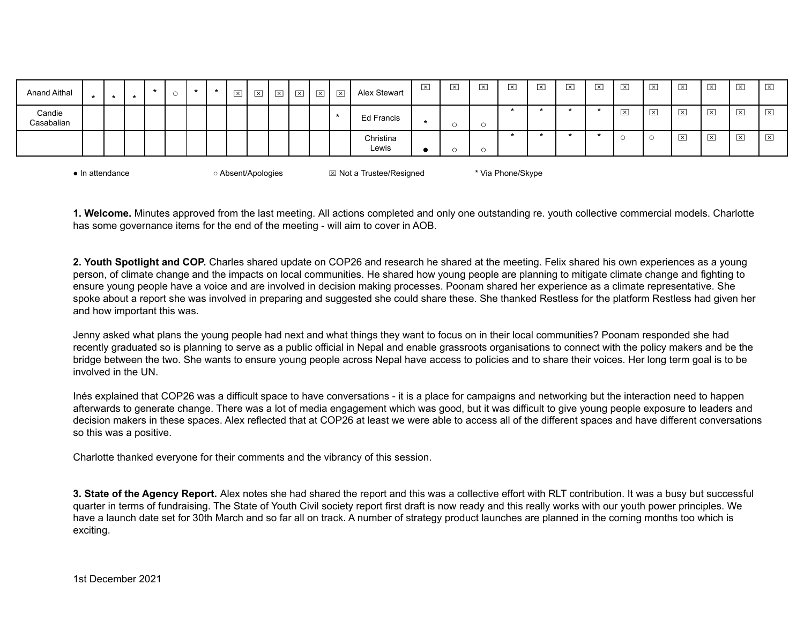| $\overline{\mathbf{x}}$<br>$\overline{\mathbf{x}}$<br>$\overline{\mathbf{x}}$<br>$\overline{\mathbf{x}}$<br>Candie<br>$\overline{\mathbf{x}}$<br>$\mathbf x$<br><b>Ed Francis</b><br>_<br>Casabalian<br>$\sim$<br>◡<br>$\overline{\mathbf{x}}$<br>$\overline{\mathsf{x}}$<br>$\overline{\mathbf{x}}$<br>Christina<br>一<br>Lewis<br>$\sim$<br><b>W</b> . | <b>Anand Aithal</b> |  |  |  | $\star$ | $\overline{\mathbf{x}}$<br>─ | ⊠<br>ے | $\boxed{\times}$ | $\overline{\mathbf{x}}$ | $\overline{\mathbf{x}}$ | $\overline{\mathbf{x}}$ | Alex Stewart | $\mathsf{X}$ | $\mathsf{X}$ | $\boxed{\times}$ | $\boxed{\times}$ | $\overline{\mathbf{x}}$ | $\mathsf{x}$ | $\overline{\mathbf{x}}$ | $\overline{\mathsf{x}}$ | $\boxed{\mathsf{x}}$ | $\overline{\mathsf{x}}$<br>_ | $\overline{\mathsf{x}}$ | $\times$ | $\overline{\mathbf{x}}$ |
|---------------------------------------------------------------------------------------------------------------------------------------------------------------------------------------------------------------------------------------------------------------------------------------------------------------------------------------------------------|---------------------|--|--|--|---------|------------------------------|--------|------------------|-------------------------|-------------------------|-------------------------|--------------|--------------|--------------|------------------|------------------|-------------------------|--------------|-------------------------|-------------------------|----------------------|------------------------------|-------------------------|----------|-------------------------|
|                                                                                                                                                                                                                                                                                                                                                         |                     |  |  |  |         |                              |        |                  |                         |                         |                         |              |              |              |                  |                  |                         |              |                         |                         |                      |                              |                         |          | $\overline{\mathbf{x}}$ |
|                                                                                                                                                                                                                                                                                                                                                         |                     |  |  |  |         |                              |        |                  |                         |                         |                         |              |              |              |                  |                  |                         |              |                         |                         |                      |                              |                         |          | $\overline{\mathbf{x}}$ |

| $\bullet$ In attendance | Absent/Apologies | $\boxtimes$ Not a Trustee/Resigned | * Via Phone/Skype |
|-------------------------|------------------|------------------------------------|-------------------|
|-------------------------|------------------|------------------------------------|-------------------|

**1. Welcome.** Minutes approved from the last meeting. All actions completed and only one outstanding re. youth collective commercial models. Charlotte has some governance items for the end of the meeting - will aim to cover in AOB.

**2. Youth Spotlight and COP.** Charles shared update on COP26 and research he shared at the meeting. Felix shared his own experiences as a young person, of climate change and the impacts on local communities. He shared how young people are planning to mitigate climate change and fighting to ensure young people have a voice and are involved in decision making processes. Poonam shared her experience as a climate representative. She spoke about a report she was involved in preparing and suggested she could share these. She thanked Restless for the platform Restless had given her and how important this was.

Jenny asked what plans the young people had next and what things they want to focus on in their local communities? Poonam responded she had recently graduated so is planning to serve as a public official in Nepal and enable grassroots organisations to connect with the policy makers and be the bridge between the two. She wants to ensure young people across Nepal have access to policies and to share their voices. Her long term goal is to be involved in the UN.

Inés explained that COP26 was a difficult space to have conversations - it is a place for campaigns and networking but the interaction need to happen afterwards to generate change. There was a lot of media engagement which was good, but it was difficult to give young people exposure to leaders and decision makers in these spaces. Alex reflected that at COP26 at least we were able to access all of the different spaces and have different conversations so this was a positive.

Charlotte thanked everyone for their comments and the vibrancy of this session.

**3. State of the Agency Report.** Alex notes she had shared the report and this was a collective effort with RLT contribution. It was a busy but successful quarter in terms of fundraising. The State of Youth Civil society report first draft is now ready and this really works with our youth power principles. We have a launch date set for 30th March and so far all on track. A number of strategy product launches are planned in the coming months too which is exciting.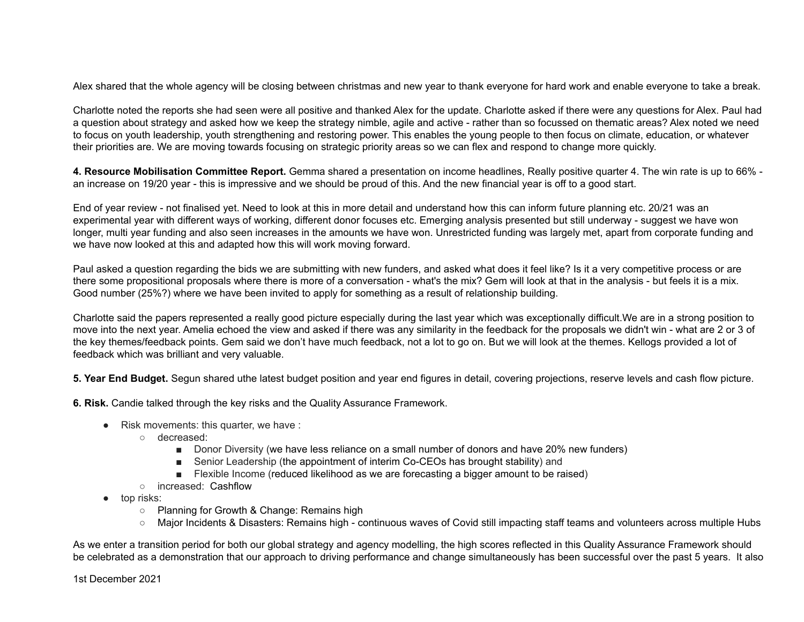Alex shared that the whole agency will be closing between christmas and new year to thank everyone for hard work and enable everyone to take a break.

Charlotte noted the reports she had seen were all positive and thanked Alex for the update. Charlotte asked if there were any questions for Alex. Paul had a question about strategy and asked how we keep the strategy nimble, agile and active - rather than so focussed on thematic areas? Alex noted we need to focus on youth leadership, youth strengthening and restoring power. This enables the young people to then focus on climate, education, or whatever their priorities are. We are moving towards focusing on strategic priority areas so we can flex and respond to change more quickly.

**4. Resource Mobilisation Committee Report.** Gemma shared a presentation on income headlines, Really positive quarter 4. The win rate is up to 66% an increase on 19/20 year - this is impressive and we should be proud of this. And the new financial year is off to a good start.

End of year review - not finalised yet. Need to look at this in more detail and understand how this can inform future planning etc. 20/21 was an experimental year with different ways of working, different donor focuses etc. Emerging analysis presented but still underway - suggest we have won longer, multi year funding and also seen increases in the amounts we have won. Unrestricted funding was largely met, apart from corporate funding and we have now looked at this and adapted how this will work moving forward.

Paul asked a question regarding the bids we are submitting with new funders, and asked what does it feel like? Is it a very competitive process or are there some propositional proposals where there is more of a conversation - what's the mix? Gem will look at that in the analysis - but feels it is a mix. Good number (25%?) where we have been invited to apply for something as a result of relationship building.

Charlotte said the papers represented a really good picture especially during the last year which was exceptionally difficult.We are in a strong position to move into the next year. Amelia echoed the view and asked if there was any similarity in the feedback for the proposals we didn't win - what are 2 or 3 of the key themes/feedback points. Gem said we don't have much feedback, not a lot to go on. But we will look at the themes. Kellogs provided a lot of feedback which was brilliant and very valuable.

**5. Year End Budget.** Segun shared uthe latest budget position and year end figures in detail, covering projections, reserve levels and cash flow picture.

**6. Risk.** Candie talked through the key risks and the Quality Assurance Framework.

- $\bullet$  Risk movements: this quarter, we have :
	- decreased:
		- Donor Diversity (we have less reliance on a small number of donors and have 20% new funders)
		- Senior Leadership (the appointment of interim Co-CEOs has brought stability) and
		- Flexible Income (reduced likelihood as we are forecasting a bigger amount to be raised)
	- o increased: Cashflow
- top risks:
	- Planning for Growth & Change: Remains high
	- Major Incidents & Disasters: Remains high continuous waves of Covid still impacting staff teams and volunteers across multiple Hubs

As we enter a transition period for both our global strategy and agency modelling, the high scores reflected in this Quality Assurance Framework should be celebrated as a demonstration that our approach to driving performance and change simultaneously has been successful over the past 5 years. It also